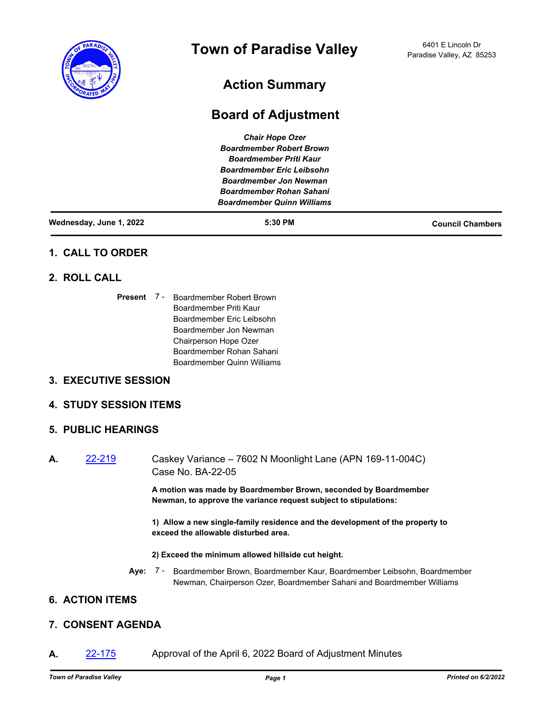

# **Action Summary**

# **Board of Adjustment**

| <b>Chair Hope Ozer</b>            |  |
|-----------------------------------|--|
| <b>Boardmember Robert Brown</b>   |  |
| <b>Boardmember Priti Kaur</b>     |  |
| <b>Boardmember Eric Leibsohn</b>  |  |
| <b>Boardmember Jon Newman</b>     |  |
| <b>Boardmember Rohan Sahani</b>   |  |
| <b>Boardmember Quinn Williams</b> |  |
|                                   |  |

| Wednesday, June 1, 2022 | 5:30 PM | <b>Council Chambers</b> |
|-------------------------|---------|-------------------------|
|-------------------------|---------|-------------------------|

## **1. CALL TO ORDER**

## **2. ROLL CALL**

Present 7 - Boardmember Robert Brown Boardmember Priti Kaur Boardmember Eric Leibsohn Boardmember Jon Newman Chairperson Hope Ozer Boardmember Rohan Sahani Boardmember Quinn Williams

## **3. EXECUTIVE SESSION**

### **4. STUDY SESSION ITEMS**

### **5. PUBLIC HEARINGS**

**A.** [22-219](http://paradisevalleyaz.legistar.com/gateway.aspx?m=l&id=/matter.aspx?key=4317) Caskey Variance – 7602 N Moonlight Lane (APN 169-11-004C) Case No. BA-22-05

> **A motion was made by Boardmember Brown, seconded by Boardmember Newman, to approve the variance request subject to stipulations:**

**1) Allow a new single-family residence and the development of the property to exceed the allowable disturbed area.**

#### **2) Exceed the minimum allowed hillside cut height.**

**Aye:** Boardmember Brown, Boardmember Kaur, Boardmember Leibsohn, Boardmember Newman, Chairperson Ozer, Boardmember Sahani and Boardmember Williams Aye: 7 -

# **6. ACTION ITEMS**

## **7. CONSENT AGENDA**

**A.** [22-175](http://paradisevalleyaz.legistar.com/gateway.aspx?m=l&id=/matter.aspx?key=4273) Approval of the April 6, 2022 Board of Adjustment Minutes